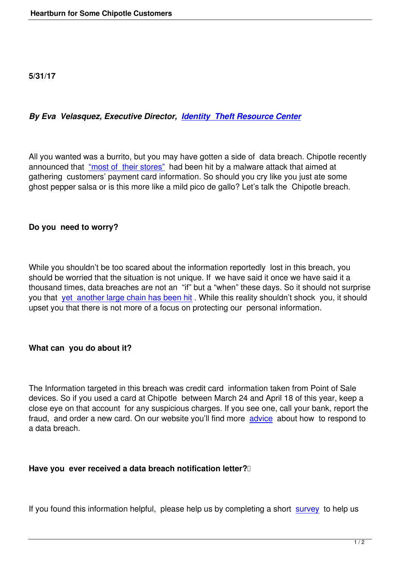## *By Eva Velasquez, Executive Director, Identity Theft Resource Center*

All you wanted was a burrito, but you may [have gotten a side of data breach](http://www.idtheftcenter.org/). Chipotle recently announced that "most of their stores" had been hit by a malware attack that aimed at gathering customers' payment card information. So should you cry like you just ate some ghost pepper salsa or is this more like a mild pico de gallo? Let's talk the Chipotle breach.

## **Do you need to worry?**

While you shouldn't be too scared about the information reportedly lost in this breach, you should be worried that the situation is not unique. If we have said it once we have said it a thousand times, data breaches are not an "if" but a "when" these days. So it should not surprise you that yet another large chain has been hit . While this reality shouldn't shock you, it should upset you that there is not more of a focus on protecting our personal information.

## **What can you do about it?**

The Information targeted in this breach was credit card information taken from Point of Sale devices. So if you used a card at Chipotle between March 24 and April 18 of this year, keep a close eye on that account for any suspicious charges. If you see one, call your bank, report the fraud, and order a new card. On our website you'll find more advice about how to respond to a data breach.

## Have you ever received a data breach notification letter?<sup>[1]</sup>

If you found this information helpful, please help us by completing a short survey to help us